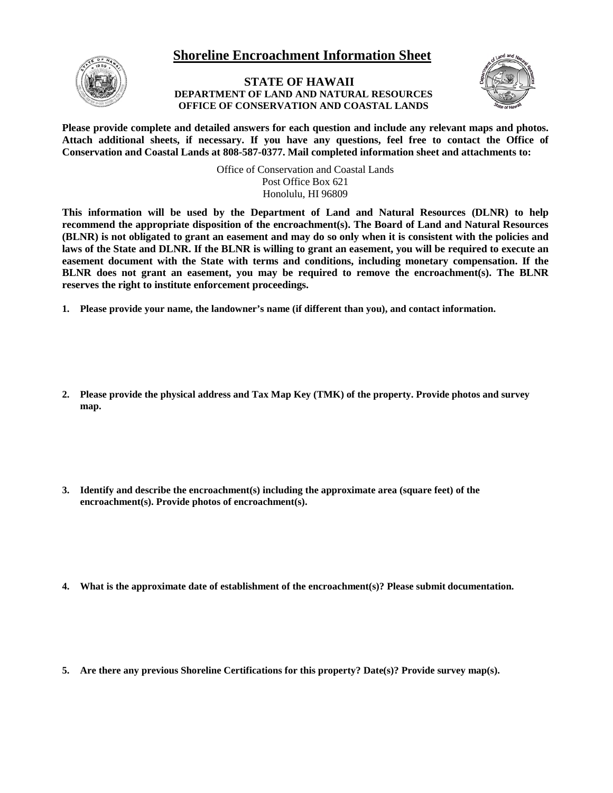## **Shoreline Encroachment Information Sheet**



## **STATE OF HAWAII DEPARTMENT OF LAND AND NATURAL RESOURCES OFFICE OF CONSERVATION AND COASTAL LANDS**



**Please provide complete and detailed answers for each question and include any relevant maps and photos. Attach additional sheets, if necessary. If you have any questions, feel free to contact the Office of Conservation and Coastal Lands at 808-587-0377. Mail completed information sheet and attachments to:**

> Office of Conservation and Coastal Lands Post Office Box 621 Honolulu, HI 96809

**This information will be used by the Department of Land and Natural Resources (DLNR) to help recommend the appropriate disposition of the encroachment(s). The Board of Land and Natural Resources (BLNR) is not obligated to grant an easement and may do so only when it is consistent with the policies and laws of the State and DLNR. If the BLNR is willing to grant an easement, you will be required to execute an easement document with the State with terms and conditions, including monetary compensation. If the BLNR does not grant an easement, you may be required to remove the encroachment(s). The BLNR reserves the right to institute enforcement proceedings.** 

- **1. Please provide your name, the landowner's name (if different than you), and contact information.**
- **2. Please provide the physical address and Tax Map Key (TMK) of the property. Provide photos and survey map.**
- **3. Identify and describe the encroachment(s) including the approximate area (square feet) of the encroachment(s). Provide photos of encroachment(s).**
- **4. What is the approximate date of establishment of the encroachment(s)? Please submit documentation.**
- **5. Are there any previous Shoreline Certifications for this property? Date(s)? Provide survey map(s).**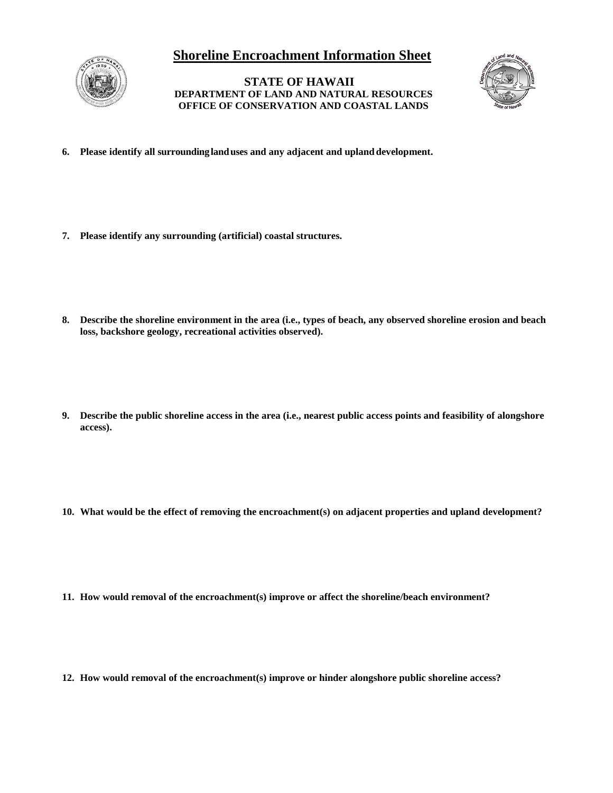## **Shoreline Encroachment Information Sheet**



**STATE OF HAWAII DEPARTMENT OF LAND AND NATURAL RESOURCES OFFICE OF CONSERVATION AND COASTAL LANDS**



- **6. Please identify all surrounding landuses and any adjacent and upland development.**
- **7. Please identify any surrounding (artificial) coastal structures.**
- **8. Describe the shoreline environment in the area (i.e., types of beach, any observed shoreline erosion and beach loss, backshore geology, recreational activities observed).**
- **9. Describe the public shoreline access in the area (i.e., nearest public access points and feasibility of alongshore access).**
- **10. What would be the effect of removing the encroachment(s) on adjacent properties and upland development?**
- **11. How would removal of the encroachment(s) improve or affect the shoreline/beach environment?**
- **12. How would removal of the encroachment(s) improve or hinder alongshore public shoreline access?**